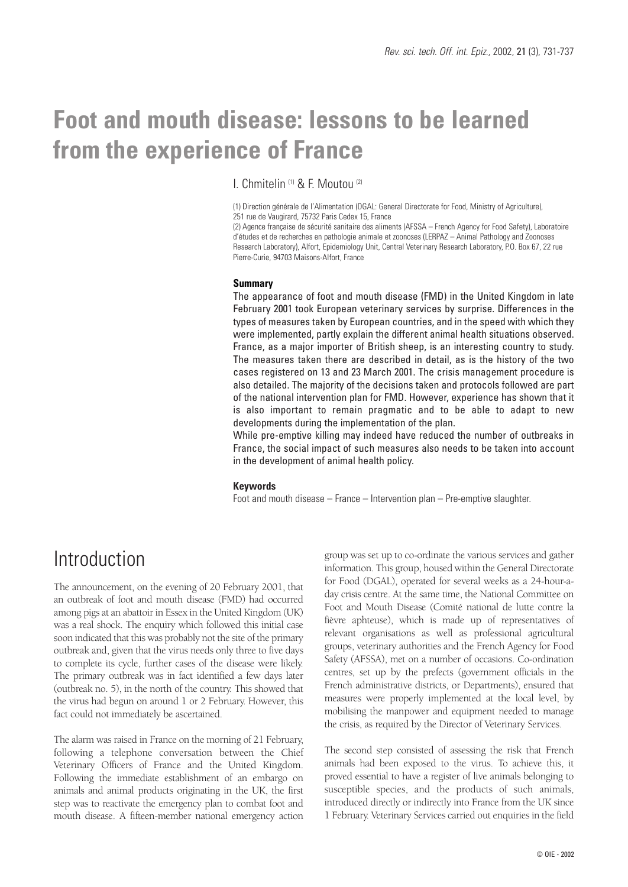# **Foot and mouth disease: lessons to be learned from the experience of France**

I. Chmitelin (1) & F. Moutou (2)

(1) Direction générale de l'Alimentation (DGAL: General Directorate for Food, Ministry of Agriculture), 251 rue de Vaugirard, 75732 Paris Cedex 15, France

(2) Agence française de sécurité sanitaire des aliments (AFSSA – French Agency for Food Safety), Laboratoire d'études et de recherches en pathologie animale et zoonoses (LERPAZ – Animal Pathology and Zoonoses Research Laboratory), Alfort, Epidemiology Unit, Central Veterinary Research Laboratory, P.O. Box 67, 22 rue Pierre-Curie, 94703 Maisons-Alfort, France

#### **Summary**

The appearance of foot and mouth disease (FMD) in the United Kingdom in late February 2001 took European veterinary services by surprise. Differences in the types of measures taken by European countries, and in the speed with which they were implemented, partly explain the different animal health situations observed. France, as a major importer of British sheep, is an interesting country to study. The measures taken there are described in detail, as is the history of the two cases registered on 13 and 23 March 2001. The crisis management procedure is also detailed. The majority of the decisions taken and protocols followed are part of the national intervention plan for FMD. However, experience has shown that it is also important to remain pragmatic and to be able to adapt to new developments during the implementation of the plan.

While pre-emptive killing may indeed have reduced the number of outbreaks in France, the social impact of such measures also needs to be taken into account in the development of animal health policy.

#### **Keywords**

Foot and mouth disease – France – Intervention plan – Pre-emptive slaughter.

#### Introduction

The announcement, on the evening of 20 February 2001, that an outbreak of foot and mouth disease (FMD) had occurred among pigs at an abattoir in Essex in the United Kingdom (UK) was a real shock. The enquiry which followed this initial case soon indicated that this was probably not the site of the primary outbreak and, given that the virus needs only three to five days to complete its cycle, further cases of the disease were likely. The primary outbreak was in fact identified a few days later (outbreak no. 5), in the north of the country. This showed that the virus had begun on around 1 or 2 February. However, this fact could not immediately be ascertained.

The alarm was raised in France on the morning of 21 February, following a telephone conversation between the Chief Veterinary Officers of France and the United Kingdom. Following the immediate establishment of an embargo on animals and animal products originating in the UK, the first step was to reactivate the emergency plan to combat foot and mouth disease. A fifteen-member national emergency action group was set up to co-ordinate the various services and gather information. This group, housed within the General Directorate for Food (DGAL), operated for several weeks as a 24-hour-aday crisis centre. At the same time, the National Committee on Foot and Mouth Disease (Comité national de lutte contre la fièvre aphteuse), which is made up of representatives of relevant organisations as well as professional agricultural groups, veterinary authorities and the French Agency for Food Safety (AFSSA), met on a number of occasions. Co-ordination centres, set up by the prefects (government officials in the French administrative districts, or Departments), ensured that measures were properly implemented at the local level, by mobilising the manpower and equipment needed to manage the crisis, as required by the Director of Veterinary Services.

The second step consisted of assessing the risk that French animals had been exposed to the virus. To achieve this, it proved essential to have a register of live animals belonging to susceptible species, and the products of such animals, introduced directly or indirectly into France from the UK since 1 February. Veterinary Services carried out enquiries in the field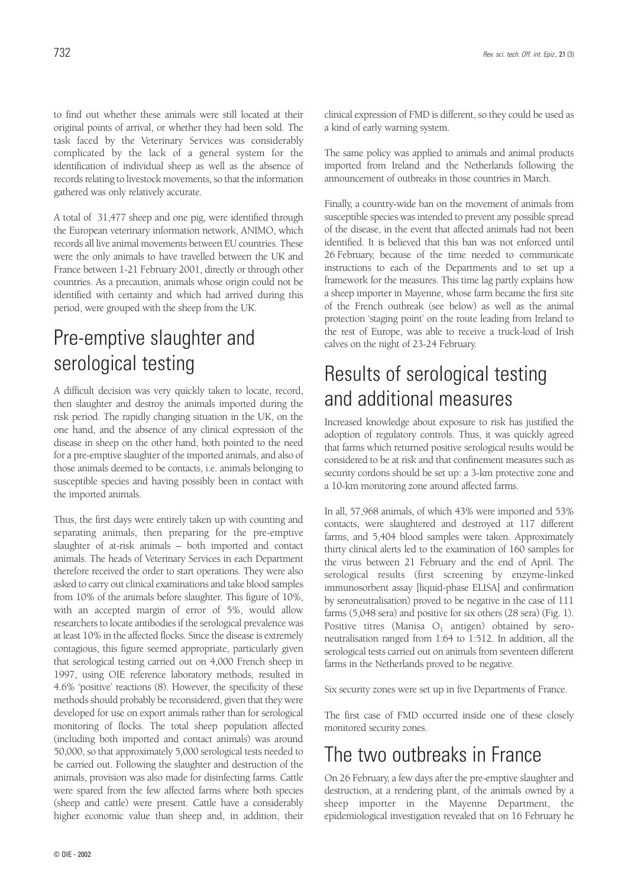to find out whether these animals were still located at their original points of arrival, or whether they had been sold. The task faced by the Veterinary Services was considerably complicated by the lack of a general system for the identification of individual sheep as well as the absence of records relating to livestock movements, so that the information gathered was only relatively accurate.

A total of 31,477 sheep and one pig, were identified through the European veterinary information network, ANIMO, which records all live animal movements between EU countries. These were the only animals to have travelled between the UK and France between 1-21 February 2001, directly or through other countries. As a precaution, animals whose origin could not be identified with certainty and which had arrived during this period, were grouped with the sheep from the UK.

## Pre-emptive slaughter and serological testing

A difficult decision was very quickly taken to locate, record, then slaughter and destroy the animals imported during the risk period. The rapidly changing situation in the UK, on the one hand, and the absence of any clinical expression of the disease in sheep on the other hand, both pointed to the need for a pre-emptive slaughter of the imported animals, and also of those animals deemed to be contacts, i.e. animals belonging to susceptible species and having possibly been in contact with the imported animals.

Thus, the first days were entirely taken up with counting and separating animals, then preparing for the pre-emptive slaughter of at-risk animals – both imported and contact animals. The heads of Veterinary Services in each Department therefore received the order to start operations. They were also asked to carry out clinical examinations and take blood samples from 10% of the animals before slaughter. This figure of 10%, with an accepted margin of error of 5%, would allow researchers to locate antibodies if the serological prevalence was at least 10% in the affected flocks. Since the disease is extremely contagious, this figure seemed appropriate, particularly given that serological testing carried out on 4,000 French sheep in 1997, using OIE reference laboratory methods, resulted in 4.6% 'positive' reactions (8). However, the specificity of these methods should probably be reconsidered, given that they were developed for use on export animals rather than for serological monitoring of flocks. The total sheep population affected (including both imported and contact animals) was around 50,000, so that approximately 5,000 serological tests needed to be carried out. Following the slaughter and destruction of the animals, provision was also made for disinfecting farms. Cattle were spared from the few affected farms where both species (sheep and cattle) were present. Cattle have a considerably higher economic value than sheep and, in addition, their

clinical expression of FMD is different, so they could be used as a kind of early warning system.

The same policy was applied to animals and animal products imported from Ireland and the Netherlands following the announcement of outbreaks in those countries in March.

Finally, a country-wide ban on the movement of animals from susceptible species was intended to prevent any possible spread of the disease, in the event that affected animals had not been identified. It is believed that this ban was not enforced until 26 February, because of the time needed to communicate instructions to each of the Departments and to set up a framework for the measures. This time lag partly explains how a sheep importer in Mayenne, whose farm became the first site of the French outbreak (see below) as well as the animal protection 'staging point' on the route leading from Ireland to the rest of Europe, was able to receive a truck-load of Irish calves on the night of 23-24 February.

### Results of serological testing and additional measures

Increased knowledge about exposure to risk has justified the adoption of regulatory controls. Thus, it was quickly agreed that farms which returned positive serological results would be considered to be at risk and that confinement measures such as security cordons should be set up: a 3-km protective zone and a 10-km monitoring zone around affected farms.

In all, 57,968 animals, of which 43% were imported and 53% contacts, were slaughtered and destroyed at 117 different farms, and 5,404 blood samples were taken. Approximately thirty clinical alerts led to the examination of 160 samples for the virus between 21 February and the end of April. The serological results (first screening by enzyme-linked immunosorbent assay [liquid-phase ELISA] and confirmation by seroneutralisation) proved to be negative in the case of 111 farms (5,048 sera) and positive for six others (28 sera) (Fig. 1). Positive titres (Manisa  $O_1$  antigen) obtained by seroneutralisation ranged from 1:64 to 1:512. In addition, all the serological tests carried out on animals from seventeen different farms in the Netherlands proved to be negative.

Six security zones were set up in five Departments of France.

The first case of FMD occurred inside one of these closely monitored security zones.

#### The two outbreaks in France

On 26 February, a few days after the pre-emptive slaughter and destruction, at a rendering plant, of the animals owned by a sheep importer in the Mayenne Department, the epidemiological investigation revealed that on 16 February he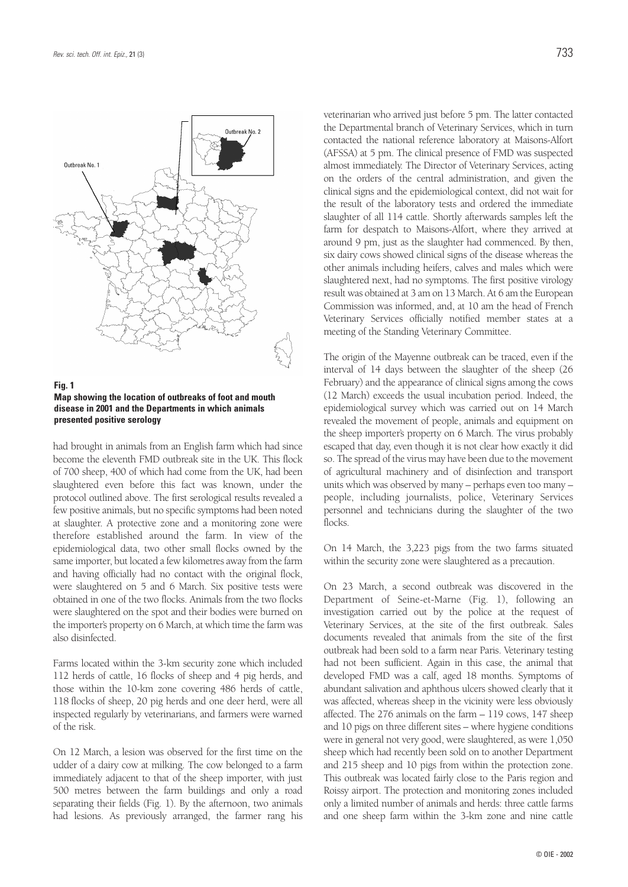

**Fig. 1 Map showing the location of outbreaks of foot and mouth disease in 2001 and the Departments in which animals presented positive serology**

had brought in animals from an English farm which had since become the eleventh FMD outbreak site in the UK. This flock of 700 sheep, 400 of which had come from the UK, had been slaughtered even before this fact was known, under the protocol outlined above. The first serological results revealed a few positive animals, but no specific symptoms had been noted at slaughter. A protective zone and a monitoring zone were therefore established around the farm. In view of the epidemiological data, two other small flocks owned by the same importer, but located a few kilometres away from the farm and having officially had no contact with the original flock, were slaughtered on 5 and 6 March. Six positive tests were obtained in one of the two flocks. Animals from the two flocks were slaughtered on the spot and their bodies were burned on the importer's property on 6 March, at which time the farm was also disinfected.

Farms located within the 3-km security zone which included 112 herds of cattle, 16 flocks of sheep and 4 pig herds, and those within the 10-km zone covering 486 herds of cattle, 118 flocks of sheep, 20 pig herds and one deer herd, were all inspected regularly by veterinarians, and farmers were warned of the risk.

On 12 March, a lesion was observed for the first time on the udder of a dairy cow at milking. The cow belonged to a farm immediately adjacent to that of the sheep importer, with just 500 metres between the farm buildings and only a road separating their fields (Fig. 1). By the afternoon, two animals had lesions. As previously arranged, the farmer rang his veterinarian who arrived just before 5 pm. The latter contacted the Departmental branch of Veterinary Services, which in turn contacted the national reference laboratory at Maisons-Alfort (AFSSA) at 5 pm. The clinical presence of FMD was suspected almost immediately. The Director of Veterinary Services, acting on the orders of the central administration, and given the clinical signs and the epidemiological context, did not wait for the result of the laboratory tests and ordered the immediate slaughter of all 114 cattle. Shortly afterwards samples left the farm for despatch to Maisons-Alfort, where they arrived at around 9 pm, just as the slaughter had commenced. By then, six dairy cows showed clinical signs of the disease whereas the other animals including heifers, calves and males which were slaughtered next, had no symptoms. The first positive virology result was obtained at 3 am on 13 March. At 6 am the European Commission was informed, and, at 10 am the head of French Veterinary Services officially notified member states at a meeting of the Standing Veterinary Committee.

The origin of the Mayenne outbreak can be traced, even if the interval of 14 days between the slaughter of the sheep (26 February) and the appearance of clinical signs among the cows (12 March) exceeds the usual incubation period. Indeed, the epidemiological survey which was carried out on 14 March revealed the movement of people, animals and equipment on the sheep importer's property on 6 March. The virus probably escaped that day, even though it is not clear how exactly it did so. The spread of the virus may have been due to the movement of agricultural machinery and of disinfection and transport units which was observed by many – perhaps even too many – people, including journalists, police, Veterinary Services personnel and technicians during the slaughter of the two flocks.

On 14 March, the 3,223 pigs from the two farms situated within the security zone were slaughtered as a precaution.

On 23 March, a second outbreak was discovered in the Department of Seine-et-Marne (Fig. 1), following an investigation carried out by the police at the request of Veterinary Services, at the site of the first outbreak. Sales documents revealed that animals from the site of the first outbreak had been sold to a farm near Paris. Veterinary testing had not been sufficient. Again in this case, the animal that developed FMD was a calf, aged 18 months. Symptoms of abundant salivation and aphthous ulcers showed clearly that it was affected, whereas sheep in the vicinity were less obviously affected. The 276 animals on the farm – 119 cows, 147 sheep and 10 pigs on three different sites – where hygiene conditions were in general not very good, were slaughtered, as were 1,050 sheep which had recently been sold on to another Department and 215 sheep and 10 pigs from within the protection zone. This outbreak was located fairly close to the Paris region and Roissy airport. The protection and monitoring zones included only a limited number of animals and herds: three cattle farms and one sheep farm within the 3-km zone and nine cattle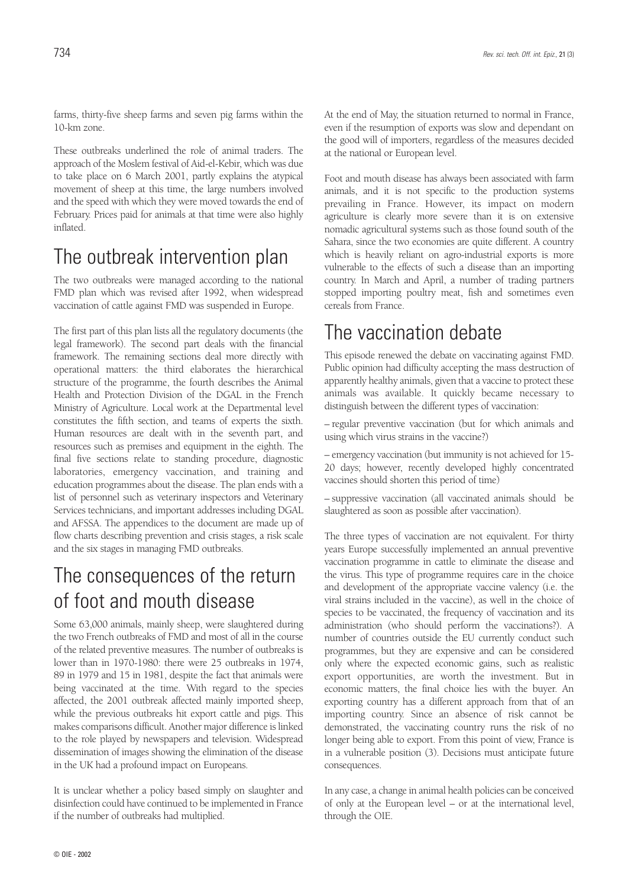farms, thirty-five sheep farms and seven pig farms within the 10-km zone.

These outbreaks underlined the role of animal traders. The approach of the Moslem festival of Aid-el-Kebir, which was due to take place on 6 March 2001, partly explains the atypical movement of sheep at this time, the large numbers involved and the speed with which they were moved towards the end of February. Prices paid for animals at that time were also highly inflated.

#### The outbreak intervention plan

The two outbreaks were managed according to the national FMD plan which was revised after 1992, when widespread vaccination of cattle against FMD was suspended in Europe.

The first part of this plan lists all the regulatory documents (the legal framework). The second part deals with the financial framework. The remaining sections deal more directly with operational matters: the third elaborates the hierarchical structure of the programme, the fourth describes the Animal Health and Protection Division of the DGAL in the French Ministry of Agriculture. Local work at the Departmental level constitutes the fifth section, and teams of experts the sixth. Human resources are dealt with in the seventh part, and resources such as premises and equipment in the eighth. The final five sections relate to standing procedure, diagnostic laboratories, emergency vaccination, and training and education programmes about the disease. The plan ends with a list of personnel such as veterinary inspectors and Veterinary Services technicians, and important addresses including DGAL and AFSSA. The appendices to the document are made up of flow charts describing prevention and crisis stages, a risk scale and the six stages in managing FMD outbreaks.

### The consequences of the return of foot and mouth disease

Some 63,000 animals, mainly sheep, were slaughtered during the two French outbreaks of FMD and most of all in the course of the related preventive measures. The number of outbreaks is lower than in 1970-1980: there were 25 outbreaks in 1974, 89 in 1979 and 15 in 1981, despite the fact that animals were being vaccinated at the time. With regard to the species affected, the 2001 outbreak affected mainly imported sheep, while the previous outbreaks hit export cattle and pigs. This makes comparisons difficult. Another major difference is linked to the role played by newspapers and television. Widespread dissemination of images showing the elimination of the disease in the UK had a profound impact on Europeans.

It is unclear whether a policy based simply on slaughter and disinfection could have continued to be implemented in France if the number of outbreaks had multiplied.

At the end of May, the situation returned to normal in France, even if the resumption of exports was slow and dependant on the good will of importers, regardless of the measures decided at the national or European level.

Foot and mouth disease has always been associated with farm animals, and it is not specific to the production systems prevailing in France. However, its impact on modern agriculture is clearly more severe than it is on extensive nomadic agricultural systems such as those found south of the Sahara, since the two economies are quite different. A country which is heavily reliant on agro-industrial exports is more vulnerable to the effects of such a disease than an importing country. In March and April, a number of trading partners stopped importing poultry meat, fish and sometimes even cereals from France.

#### The vaccination debate

This episode renewed the debate on vaccinating against FMD. Public opinion had difficulty accepting the mass destruction of apparently healthy animals, given that a vaccine to protect these animals was available. It quickly became necessary to distinguish between the different types of vaccination:

– regular preventive vaccination (but for which animals and using which virus strains in the vaccine?)

– emergency vaccination (but immunity is not achieved for 15- 20 days; however, recently developed highly concentrated vaccines should shorten this period of time)

– suppressive vaccination (all vaccinated animals should be slaughtered as soon as possible after vaccination).

The three types of vaccination are not equivalent. For thirty years Europe successfully implemented an annual preventive vaccination programme in cattle to eliminate the disease and the virus. This type of programme requires care in the choice and development of the appropriate vaccine valency (i.e. the viral strains included in the vaccine), as well in the choice of species to be vaccinated, the frequency of vaccination and its administration (who should perform the vaccinations?). A number of countries outside the EU currently conduct such programmes, but they are expensive and can be considered only where the expected economic gains, such as realistic export opportunities, are worth the investment. But in economic matters, the final choice lies with the buyer. An exporting country has a different approach from that of an importing country. Since an absence of risk cannot be demonstrated, the vaccinating country runs the risk of no longer being able to export. From this point of view, France is in a vulnerable position (3). Decisions must anticipate future consequences.

In any case, a change in animal health policies can be conceived of only at the European level – or at the international level, through the OIE.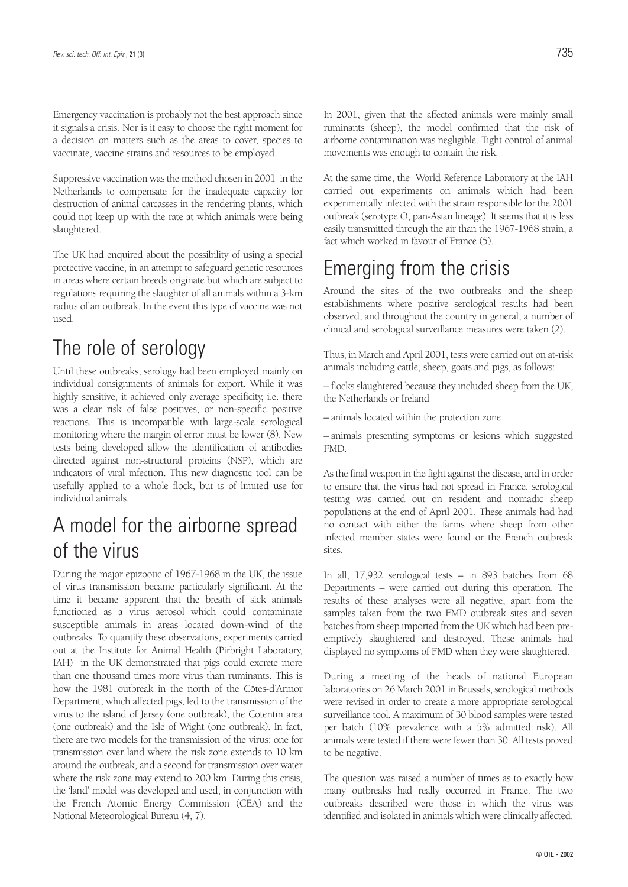Emergency vaccination is probably not the best approach since it signals a crisis. Nor is it easy to choose the right moment for a decision on matters such as the areas to cover, species to vaccinate, vaccine strains and resources to be employed.

Suppressive vaccination was the method chosen in 2001 in the Netherlands to compensate for the inadequate capacity for destruction of animal carcasses in the rendering plants, which could not keep up with the rate at which animals were being slaughtered.

The UK had enquired about the possibility of using a special protective vaccine, in an attempt to safeguard genetic resources in areas where certain breeds originate but which are subject to regulations requiring the slaughter of all animals within a 3-km radius of an outbreak. In the event this type of vaccine was not used.

#### The role of serology

Until these outbreaks, serology had been employed mainly on individual consignments of animals for export. While it was highly sensitive, it achieved only average specificity, i.e. there was a clear risk of false positives, or non-specific positive reactions. This is incompatible with large-scale serological monitoring where the margin of error must be lower (8). New tests being developed allow the identification of antibodies directed against non-structural proteins (NSP), which are indicators of viral infection. This new diagnostic tool can be usefully applied to a whole flock, but is of limited use for individual animals.

#### A model for the airborne spread of the virus

During the major epizootic of 1967-1968 in the UK, the issue of virus transmission became particularly significant. At the time it became apparent that the breath of sick animals functioned as a virus aerosol which could contaminate susceptible animals in areas located down-wind of the outbreaks. To quantify these observations, experiments carried out at the Institute for Animal Health (Pirbright Laboratory, IAH) in the UK demonstrated that pigs could excrete more than one thousand times more virus than ruminants. This is how the 1981 outbreak in the north of the Côtes-d'Armor Department, which affected pigs, led to the transmission of the virus to the island of Jersey (one outbreak), the Cotentin area (one outbreak) and the Isle of Wight (one outbreak). In fact, there are two models for the transmission of the virus: one for transmission over land where the risk zone extends to 10 km around the outbreak, and a second for transmission over water where the risk zone may extend to 200 km. During this crisis, the 'land' model was developed and used, in conjunction with the French Atomic Energy Commission (CEA) and the National Meteorological Bureau (4, 7).

In 2001, given that the affected animals were mainly small ruminants (sheep), the model confirmed that the risk of airborne contamination was negligible. Tight control of animal movements was enough to contain the risk.

At the same time, the World Reference Laboratory at the IAH carried out experiments on animals which had been experimentally infected with the strain responsible for the 2001 outbreak (serotype O, pan-Asian lineage). It seems that it is less easily transmitted through the air than the 1967-1968 strain, a fact which worked in favour of France (5).

#### Emerging from the crisis

Around the sites of the two outbreaks and the sheep establishments where positive serological results had been observed, and throughout the country in general, a number of clinical and serological surveillance measures were taken (2).

Thus, in March and April 2001, tests were carried out on at-risk animals including cattle, sheep, goats and pigs, as follows:

– flocks slaughtered because they included sheep from the UK, the Netherlands or Ireland

– animals located within the protection zone

– animals presenting symptoms or lesions which suggested FMD.

As the final weapon in the fight against the disease, and in order to ensure that the virus had not spread in France, serological testing was carried out on resident and nomadic sheep populations at the end of April 2001. These animals had had no contact with either the farms where sheep from other infected member states were found or the French outbreak sites.

In all, 17,932 serological tests – in 893 batches from 68 Departments – were carried out during this operation. The results of these analyses were all negative, apart from the samples taken from the two FMD outbreak sites and seven batches from sheep imported from the UK which had been preemptively slaughtered and destroyed. These animals had displayed no symptoms of FMD when they were slaughtered.

During a meeting of the heads of national European laboratories on 26 March 2001 in Brussels, serological methods were revised in order to create a more appropriate serological surveillance tool. A maximum of 30 blood samples were tested per batch (10% prevalence with a 5% admitted risk). All animals were tested if there were fewer than 30. All tests proved to be negative.

The question was raised a number of times as to exactly how many outbreaks had really occurred in France. The two outbreaks described were those in which the virus was identified and isolated in animals which were clinically affected.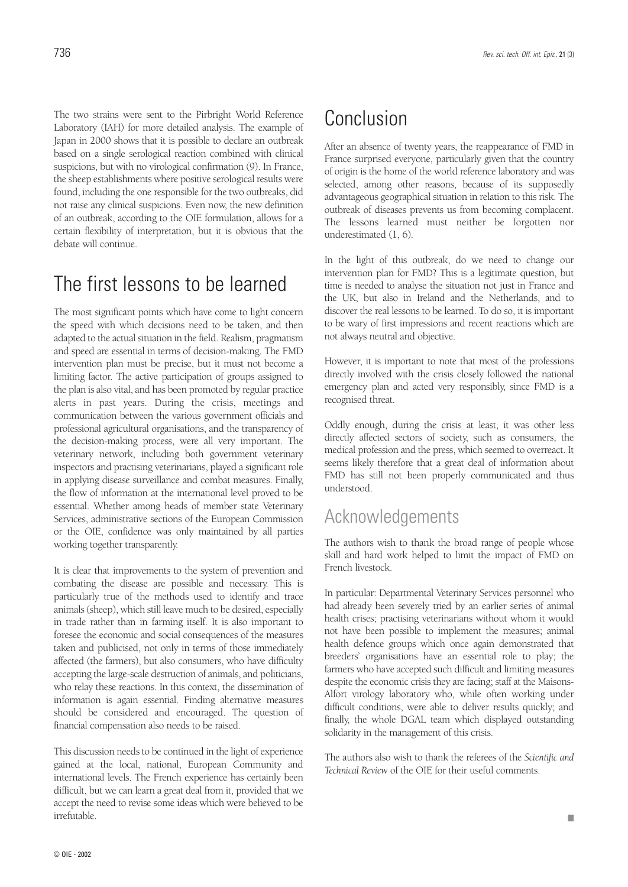The two strains were sent to the Pirbright World Reference Laboratory (IAH) for more detailed analysis. The example of Japan in 2000 shows that it is possible to declare an outbreak based on a single serological reaction combined with clinical suspicions, but with no virological confirmation (9). In France, the sheep establishments where positive serological results were found, including the one responsible for the two outbreaks, did not raise any clinical suspicions. Even now, the new definition of an outbreak, according to the OIE formulation, allows for a certain flexibility of interpretation, but it is obvious that the debate will continue.

#### The first lessons to be learned

The most significant points which have come to light concern the speed with which decisions need to be taken, and then adapted to the actual situation in the field. Realism, pragmatism and speed are essential in terms of decision-making. The FMD intervention plan must be precise, but it must not become a limiting factor. The active participation of groups assigned to the plan is also vital, and has been promoted by regular practice alerts in past years. During the crisis, meetings and communication between the various government officials and professional agricultural organisations, and the transparency of the decision-making process, were all very important. The veterinary network, including both government veterinary inspectors and practising veterinarians, played a significant role in applying disease surveillance and combat measures. Finally, the flow of information at the international level proved to be essential. Whether among heads of member state Veterinary Services, administrative sections of the European Commission or the OIE, confidence was only maintained by all parties working together transparently.

It is clear that improvements to the system of prevention and combating the disease are possible and necessary. This is particularly true of the methods used to identify and trace animals (sheep), which still leave much to be desired, especially in trade rather than in farming itself. It is also important to foresee the economic and social consequences of the measures taken and publicised, not only in terms of those immediately affected (the farmers), but also consumers, who have difficulty accepting the large-scale destruction of animals, and politicians, who relay these reactions. In this context, the dissemination of information is again essential. Finding alternative measures should be considered and encouraged. The question of financial compensation also needs to be raised.

This discussion needs to be continued in the light of experience gained at the local, national, European Community and international levels. The French experience has certainly been difficult, but we can learn a great deal from it, provided that we accept the need to revise some ideas which were believed to be irrefutable.

#### Conclusion

After an absence of twenty years, the reappearance of FMD in France surprised everyone, particularly given that the country of origin is the home of the world reference laboratory and was selected, among other reasons, because of its supposedly advantageous geographical situation in relation to this risk. The outbreak of diseases prevents us from becoming complacent. The lessons learned must neither be forgotten nor underestimated (1, 6).

In the light of this outbreak, do we need to change our intervention plan for FMD? This is a legitimate question, but time is needed to analyse the situation not just in France and the UK, but also in Ireland and the Netherlands, and to discover the real lessons to be learned. To do so, it is important to be wary of first impressions and recent reactions which are not always neutral and objective.

However, it is important to note that most of the professions directly involved with the crisis closely followed the national emergency plan and acted very responsibly, since FMD is a recognised threat.

Oddly enough, during the crisis at least, it was other less directly affected sectors of society, such as consumers, the medical profession and the press, which seemed to overreact. It seems likely therefore that a great deal of information about FMD has still not been properly communicated and thus understood.

#### Acknowledgements

The authors wish to thank the broad range of people whose skill and hard work helped to limit the impact of FMD on French livestock.

In particular: Departmental Veterinary Services personnel who had already been severely tried by an earlier series of animal health crises; practising veterinarians without whom it would not have been possible to implement the measures; animal health defence groups which once again demonstrated that breeders' organisations have an essential role to play; the farmers who have accepted such difficult and limiting measures despite the economic crisis they are facing; staff at the Maisons-Alfort virology laboratory who, while often working under difficult conditions, were able to deliver results quickly; and finally, the whole DGAL team which displayed outstanding solidarity in the management of this crisis.

The authors also wish to thank the referees of the *Scientific and Technical Review* of the OIE for their useful comments.

■